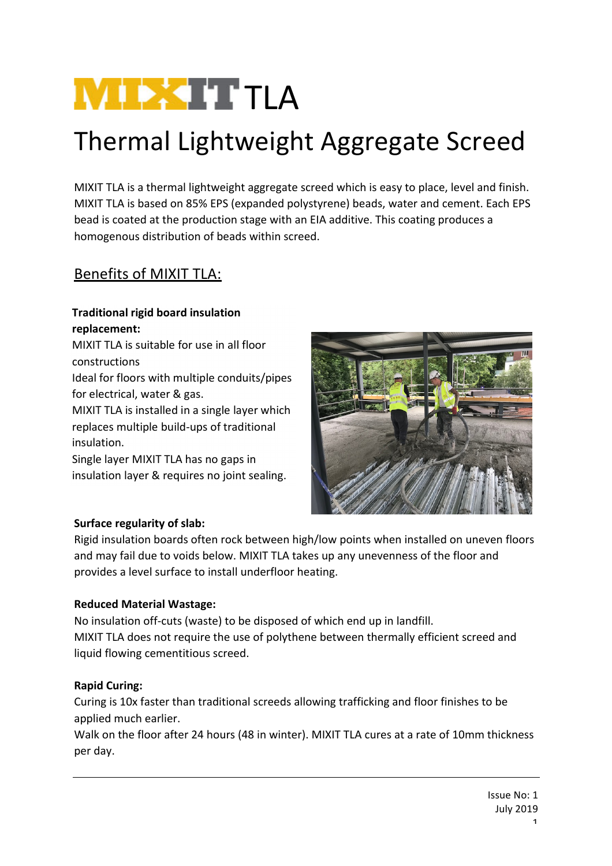# **NIEXTTLA**

## Thermal Lightweight Aggregate Screed

MIXIT TLA is a thermal lightweight aggregate screed which is easy to place, level and finish. MIXIT TLA is based on 85% EPS (expanded polystyrene) beads, water and cement. Each EPS bead is coated at the production stage with an EIA additive. This coating produces a homogenous distribution of beads within screed.

### Benefits of MIXIT TLA:

#### **Traditional rigid board insulation replacement:**

MIXIT TLA is suitable for use in all floor constructions Ideal for floors with multiple conduits/pipes for electrical, water & gas. MIXIT TLA is installed in a single layer which replaces multiple build-ups of traditional insulation.

Single layer MIXIT TLA has no gaps in insulation layer & requires no joint sealing.



#### **Surface regularity of slab:**

Rigid insulation boards often rock between high/low points when installed on uneven floors and may fail due to voids below. MIXIT TLA takes up any unevenness of the floor and provides a level surface to install underfloor heating.

#### **Reduced Material Wastage:**

No insulation off-cuts (waste) to be disposed of which end up in landfill. MIXIT TLA does not require the use of polythene between thermally efficient screed and liquid flowing cementitious screed.

#### **Rapid Curing:**

Curing is 10x faster than traditional screeds allowing trafficking and floor finishes to be applied much earlier.

Walk on the floor after 24 hours (48 in winter). MIXIT TLA cures at a rate of 10mm thickness per day.